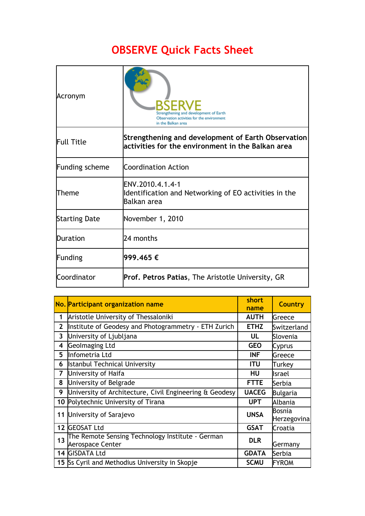## **OBSERVE Quick Facts Sheet**

| Acronym               | Strengthening and development of Earth<br>Observation activities for the environment<br>in the Balkan area |  |  |
|-----------------------|------------------------------------------------------------------------------------------------------------|--|--|
| <b>Full Title</b>     | Strengthening and development of Earth Observation<br>lactivities for the environment in the Balkan area   |  |  |
| <b>Funding scheme</b> | <b>Coordination Action</b>                                                                                 |  |  |
| Theme                 | ENV.2010.4.1.4-1<br>Identification and Networking of EO activities in the<br>Balkan area                   |  |  |
| <b>Starting Date</b>  | November 1, 2010                                                                                           |  |  |
| Duration              | 24 months                                                                                                  |  |  |
| Funding               | 999.465 €                                                                                                  |  |  |
| Coordinator           | <b>Prof. Petros Patias, The Aristotle University, GR</b>                                                   |  |  |

|              | No. Participant organization name                       | short        | Country               |
|--------------|---------------------------------------------------------|--------------|-----------------------|
|              |                                                         | name         |                       |
| 1            | Aristotle University of Thessaloniki                    | <b>AUTH</b>  | Greece                |
| $\mathbf{2}$ | Institute of Geodesy and Photogrammetry - ETH Zurich    | <b>ETHZ</b>  | Switzerland           |
| 3            | University of Ljubljana                                 | UL           | Slovenia              |
| 4            | <b>Geolmaging Ltd</b>                                   | <b>GEO</b>   | Cyprus                |
| 5            | Infometria Ltd                                          | <b>INF</b>   | Greece                |
| 6            | <b>Istanbul Technical University</b>                    | <b>ITU</b>   | Turkey                |
| 7            | University of Haifa                                     | HU           | <b>Israel</b>         |
| 8            | University of Belgrade                                  | <b>FTTE</b>  | Serbia                |
| 9            | University of Architecture, Civil Engineering & Geodesy | <b>UACEG</b> | <b>Bulgaria</b>       |
|              | 10 Polytechnic University of Tirana                     | <b>UPT</b>   | Albania               |
|              | 11 University of Sarajevo                               | <b>UNSA</b>  | Bosnia<br>Herzegovina |
|              | 12 GEOSAT Ltd                                           | <b>GSAT</b>  | Croatia               |
| 13           | The Remote Sensing Technology Institute - German        | <b>DLR</b>   |                       |
|              | <b>Aerospace Center</b>                                 |              | Germany               |
|              | 14 GISDATA Ltd                                          | <b>GDATA</b> | Serbia                |
|              | 15 Ss Cyril and Methodius University in Skopje          | <b>SCMU</b>  | <b>FYROM</b>          |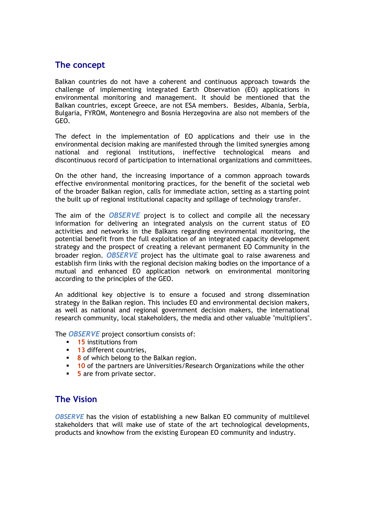## **The concept**

Balkan countries do not have a coherent and continuous approach towards the challenge of implementing integrated Earth Observation (EO) applications in environmental monitoring and management. It should be mentioned that the Balkan countries, except Greece, are not ESA members. Besides, Albania, Serbia, Bulgaria, FYROM, Montenegro and Bosnia Herzegovina are also not members of the GEO.

The defect in the implementation of EO applications and their use in the environmental decision making are manifested through the limited synergies among national and regional institutions, ineffective technological means and discontinuous record of participation to international organizations and committees.

On the other hand, the increasing importance of a common approach towards effective environmental monitoring practices, for the benefit of the societal web of the broader Balkan region, calls for immediate action, setting as a starting point the built up of regional institutional capacity and spillage of technology transfer.

The aim of the *OBSERVE* project is to collect and compile all the necessary information for delivering an integrated analysis on the current status of EO activities and networks in the Balkans regarding environmental monitoring, the potential benefit from the full exploitation of an integrated capacity development strategy and the prospect of creating a relevant permanent EO Community in the broader region. *OBSERVE* project has the ultimate goal to raise awareness and establish firm links with the regional decision making bodies on the importance of a mutual and enhanced EO application network on environmental monitoring according to the principles of the GEO.

An additional key objective is to ensure a focused and strong dissemination strategy in the Balkan region. This includes EO and environmental decision makers, as well as national and regional government decision makers, the international research community, local stakeholders, the media and other valuable "multipliers".

The *OBSERVE* project consortium consists of:

- **15** institutions from
- **13** different countries,
- **8** of which belong to the Balkan region.
- **10** of the partners are Universities/Research Organizations while the other
- **5** are from private sector.

## **The Vision**

*OBSERVE* has the vision of establishing a new Balkan EO community of multilevel stakeholders that will make use of state of the art technological developments, products and knowhow from the existing European EO community and industry.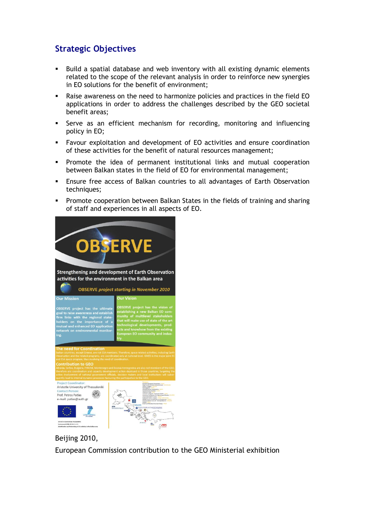## **Strategic Objectives**

- Build a spatial database and web inventory with all existing dynamic elements related to the scope of the relevant analysis in order to reinforce new synergies in EO solutions for the benefit of environment;
- Raise awareness on the need to harmonize policies and practices in the field EO applications in order to address the challenges described by the GEO societal benefit areas;
- Serve as an efficient mechanism for recording, monitoring and influencing policy in EO;
- Favour exploitation and development of EO activities and ensure coordination of these activities for the benefit of natural resources management;
- **Promote the idea of permanent institutional links and mutual cooperation** between Balkan states in the field of EO for environmental management;
- Ensure free access of Balkan countries to all advantages of Earth Observation techniques;
- Promote cooperation between Balkan States in the fields of training and sharing of staff and experiences in all aspects of EO.



Beijing 2010,

European Commission contribution to the GEO Ministerial exhibition